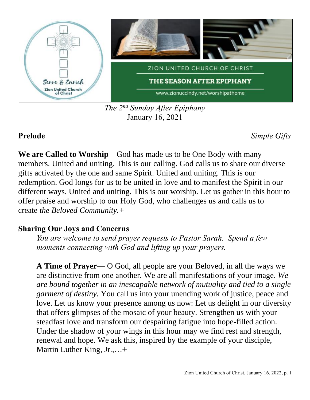

*The 2 nd Sunday After Epiphany* January 16, 2021

**Prelude** *Simple Gifts*

**We are Called to Worship** – God has made us to be One Body with many members. United and uniting. This is our calling. God calls us to share our diverse gifts activated by the one and same Spirit. United and uniting. This is our redemption. God longs for us to be united in love and to manifest the Spirit in our different ways. United and uniting. This is our worship. Let us gather in this hour to offer praise and worship to our Holy God, who challenges us and calls us to create *the Beloved Community.+*

## **Sharing Our Joys and Concerns**

*You are welcome to send prayer requests to Pastor Sarah. Spend a few moments connecting with God and lifting up your prayers.*

**A Time of Prayer**— O God, all people are your Beloved, in all the ways we are distinctive from one another. We are all manifestations of your image. *We are bound together in an inescapable network of mutuality and tied to a single garment of destiny.* You call us into your unending work of justice, peace and love. Let us know your presence among us now: Let us delight in our diversity that offers glimpses of the mosaic of your beauty. Strengthen us with your steadfast love and transform our despairing fatigue into hope-filled action. Under the shadow of your wings in this hour may we find rest and strength, renewal and hope. We ask this, inspired by the example of your disciple, Martin Luther King, Jr.,…+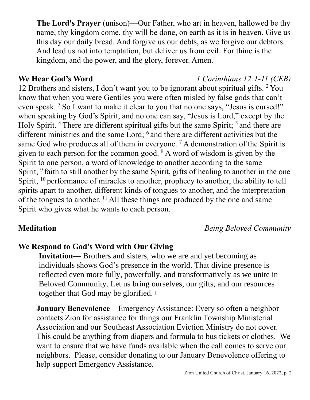**The Lord's Prayer** (unison)—Our Father, who art in heaven, hallowed be thy name, thy kingdom come, thy will be done, on earth as it is in heaven. Give us this day our daily bread. And forgive us our debts, as we forgive our debtors. And lead us not into temptation, but deliver us from evil. For thine is the kingdom, and the power, and the glory, forever. Amen.

12 Brothers and sisters, I don't want you to be ignorant about spiritual gifts. <sup>2</sup> You know that when you were Gentiles you were often misled by false gods that can't even speak. <sup>3</sup> So I want to make it clear to you that no one says, "Jesus is cursed!" when speaking by God's Spirit, and no one can say, "Jesus is Lord," except by the Holy Spirit.<sup>4</sup> There are different spiritual gifts but the same Spirit; <sup>5</sup> and there are different ministries and the same Lord; <sup>6</sup> and there are different activities but the same God who produces all of them in everyone.  $^7$  A demonstration of the Spirit is given to each person for the common good. <sup>8</sup> A word of wisdom is given by the Spirit to one person, a word of knowledge to another according to the same Spirit, <sup>9</sup> faith to still another by the same Spirit, gifts of healing to another in the one Spirit,  $10$  performance of miracles to another, prophecy to another, the ability to tell spirits apart to another, different kinds of tongues to another, and the interpretation of the tongues to another. <sup>11</sup> All these things are produced by the one and same Spirit who gives what he wants to each person.

**Meditation** *Being Beloved Community*

# **We Respond to God's Word with Our Giving**

**Invitation—** Brothers and sisters, who we are and yet becoming as individuals shows God's presence in the world. That divine presence is reflected even more fully, powerfully, and transformatively as we unite in Beloved Community. Let us bring ourselves, our gifts, and our resources together that God may be glorified.+

**January Benevolence**—Emergency Assistance: Every so often a neighbor contacts Zion for assistance for things our Franklin Township Ministerial Association and our Southeast Association Eviction Ministry do not cover. This could be anything from diapers and formula to bus tickets or clothes. We want to ensure that we have funds available when the call comes to serve our neighbors. Please, consider donating to our January Benevolence offering to help support Emergency Assistance.

## **We Hear God's Word** *1 Corinthians 12:1-11 (CEB)*